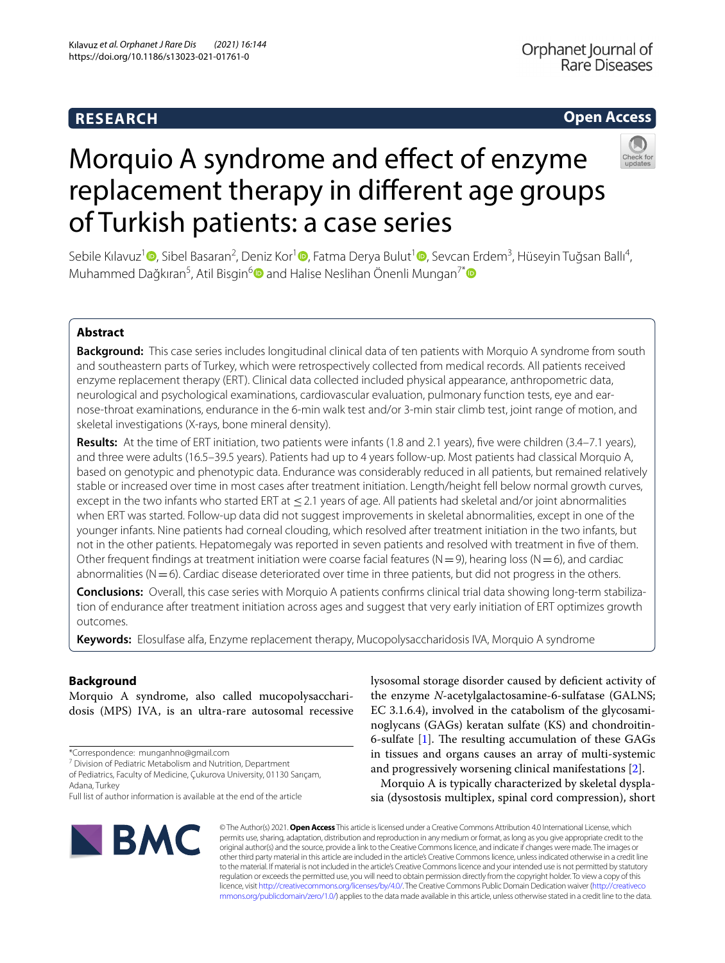# **RESEARCH**

# **Open Access**



# Morquio A syndrome and efect of enzyme replacement therapy in diferent age groups of Turkish patients: a case series

Sebile Kılavuz<sup>1</sup> <sup>(D</sup>[,](http://orcid.org/0000-0003-0529-2404) Sibel Basaran<sup>2</sup>[,](http://orcid.org/0000-0001-7659-0500) Deniz Kor<sup>1</sup> (D, Fatma Derya Bulut<sup>1</sup> (D, Sevcan Erdem<sup>3</sup>, Hüseyin Tuğsan Ballı<sup>4</sup>, Muhammed Dağkıran<sup>5</sup>, Atil Bisgin<sup>[6](http://orcid.org/0000-0002-2053-9076)</sup> $\textcolor{blue} \bullet$  and Halise Neslihan Önenli Mungan<sup>7[\\*](http://orcid.org/0000-0001-7862-3038)</sup>

# **Abstract**

**Background:** This case series includes longitudinal clinical data of ten patients with Morquio A syndrome from south and southeastern parts of Turkey, which were retrospectively collected from medical records. All patients received enzyme replacement therapy (ERT). Clinical data collected included physical appearance, anthropometric data, neurological and psychological examinations, cardiovascular evaluation, pulmonary function tests, eye and earnose-throat examinations, endurance in the 6-min walk test and/or 3-min stair climb test, joint range of motion, and skeletal investigations (X-rays, bone mineral density).

**Results:** At the time of ERT initiation, two patients were infants (1.8 and 2.1 years), fve were children (3.4–7.1 years), and three were adults (16.5–39.5 years). Patients had up to 4 years follow-up. Most patients had classical Morquio A, based on genotypic and phenotypic data. Endurance was considerably reduced in all patients, but remained relatively stable or increased over time in most cases after treatment initiation. Length/height fell below normal growth curves, except in the two infants who started ERT at ≤2.1 years of age. All patients had skeletal and/or joint abnormalities when ERT was started. Follow-up data did not suggest improvements in skeletal abnormalities, except in one of the younger infants. Nine patients had corneal clouding, which resolved after treatment initiation in the two infants, but not in the other patients. Hepatomegaly was reported in seven patients and resolved with treatment in fve of them. Other frequent findings at treatment initiation were coarse facial features ( $N=9$ ), hearing loss ( $N=6$ ), and cardiac abnormalities ( $N=6$ ). Cardiac disease deteriorated over time in three patients, but did not progress in the others.

**Conclusions:** Overall, this case series with Morquio A patients confrms clinical trial data showing long-term stabilization of endurance after treatment initiation across ages and suggest that very early initiation of ERT optimizes growth outcomes.

**Keywords:** Elosulfase alfa, Enzyme replacement therapy, Mucopolysaccharidosis IVA, Morquio A syndrome

# **Background**

Morquio A syndrome, also called mucopolysaccharidosis (MPS) IVA, is an ultra-rare autosomal recessive

\*Correspondence: munganhno@gmail.com

<sup>7</sup> Division of Pediatric Metabolism and Nutrition, Department

of Pediatrics, Faculty of Medicine, Çukurova University, 01130 Sarıçam, Adana, Turkey

lysosomal storage disorder caused by defcient activity of the enzyme *N*-acetylgalactosamine-6-sulfatase (GALNS; EC 3.1.6.4), involved in the catabolism of the glycosaminoglycans (GAGs) keratan sulfate (KS) and chondroitin-6-sulfate [[1](#page-8-0)]. The resulting accumulation of these GAGs in tissues and organs causes an array of multi-systemic and progressively worsening clinical manifestations [[2](#page-8-1)].

Morquio A is typically characterized by skeletal dysplasia (dysostosis multiplex, spinal cord compression), short



© The Author(s) 2021. **Open Access** This article is licensed under a Creative Commons Attribution 4.0 International License, which permits use, sharing, adaptation, distribution and reproduction in any medium or format, as long as you give appropriate credit to the original author(s) and the source, provide a link to the Creative Commons licence, and indicate if changes were made. The images or other third party material in this article are included in the article's Creative Commons licence, unless indicated otherwise in a credit line to the material. If material is not included in the article's Creative Commons licence and your intended use is not permitted by statutory regulation or exceeds the permitted use, you will need to obtain permission directly from the copyright holder. To view a copy of this licence, visit [http://creativecommons.org/licenses/by/4.0/.](http://creativecommons.org/licenses/by/4.0/) The Creative Commons Public Domain Dedication waiver ([http://creativeco](http://creativecommons.org/publicdomain/zero/1.0/) [mmons.org/publicdomain/zero/1.0/](http://creativecommons.org/publicdomain/zero/1.0/)) applies to the data made available in this article, unless otherwise stated in a credit line to the data.

Full list of author information is available at the end of the article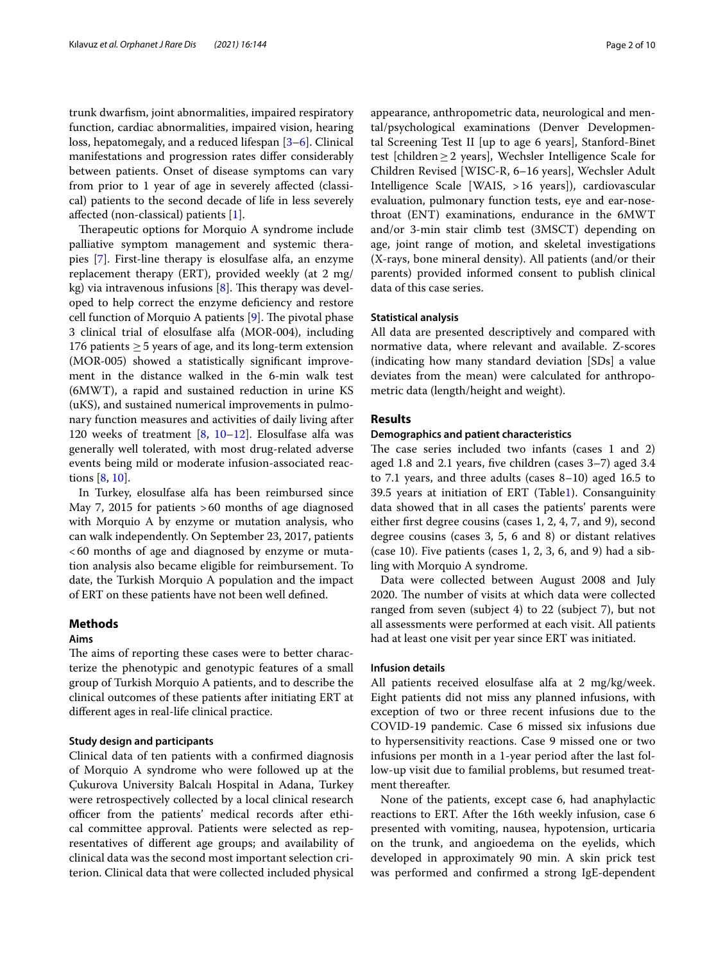trunk dwarfsm, joint abnormalities, impaired respiratory function, cardiac abnormalities, impaired vision, hearing loss, hepatomegaly, and a reduced lifespan [\[3](#page-8-2)[–6](#page-8-3)]. Clinical manifestations and progression rates difer considerably between patients. Onset of disease symptoms can vary from prior to 1 year of age in severely afected (classical) patients to the second decade of life in less severely afected (non-classical) patients [\[1\]](#page-8-0).

Therapeutic options for Morquio A syndrome include palliative symptom management and systemic therapies [\[7\]](#page-8-4). First-line therapy is elosulfase alfa, an enzyme replacement therapy (ERT), provided weekly (at 2 mg/ kg) via intravenous infusions  $[8]$  $[8]$ . This therapy was developed to help correct the enzyme defciency and restore cell function of Morquio A patients  $[9]$  $[9]$ . The pivotal phase 3 clinical trial of elosulfase alfa (MOR-004), including 176 patients  $\geq$  5 years of age, and its long-term extension (MOR-005) showed a statistically signifcant improvement in the distance walked in the 6-min walk test (6MWT), a rapid and sustained reduction in urine KS (uKS), and sustained numerical improvements in pulmonary function measures and activities of daily living after 120 weeks of treatment  $[8, 10-12]$  $[8, 10-12]$  $[8, 10-12]$  $[8, 10-12]$ . Elosulfase alfa was generally well tolerated, with most drug-related adverse events being mild or moderate infusion-associated reactions [\[8](#page-9-0), [10\]](#page-9-2).

In Turkey, elosulfase alfa has been reimbursed since May 7, 2015 for patients >60 months of age diagnosed with Morquio A by enzyme or mutation analysis, who can walk independently. On September 23, 2017, patients <60 months of age and diagnosed by enzyme or mutation analysis also became eligible for reimbursement. To date, the Turkish Morquio A population and the impact of ERT on these patients have not been well defned.

# **Methods**

#### **Aims**

The aims of reporting these cases were to better characterize the phenotypic and genotypic features of a small group of Turkish Morquio A patients, and to describe the clinical outcomes of these patients after initiating ERT at diferent ages in real-life clinical practice.

#### **Study design and participants**

Clinical data of ten patients with a confrmed diagnosis of Morquio A syndrome who were followed up at the Çukurova University Balcalı Hospital in Adana, Turkey were retrospectively collected by a local clinical research officer from the patients' medical records after ethical committee approval. Patients were selected as representatives of diferent age groups; and availability of clinical data was the second most important selection criterion. Clinical data that were collected included physical appearance, anthropometric data, neurological and mental/psychological examinations (Denver Developmental Screening Test II [up to age 6 years], Stanford-Binet test [children≥2 years], Wechsler Intelligence Scale for Children Revised [WISC-R, 6–16 years], Wechsler Adult Intelligence Scale [WAIS, >16 years]), cardiovascular evaluation, pulmonary function tests, eye and ear-nosethroat (ENT) examinations, endurance in the 6MWT and/or 3-min stair climb test (3MSCT) depending on age, joint range of motion, and skeletal investigations (X-rays, bone mineral density). All patients (and/or their parents) provided informed consent to publish clinical data of this case series.

#### **Statistical analysis**

All data are presented descriptively and compared with normative data, where relevant and available. Z-scores (indicating how many standard deviation [SDs] a value deviates from the mean) were calculated for anthropometric data (length/height and weight).

#### **Results**

#### **Demographics and patient characteristics**

The case series included two infants (cases 1 and 2) aged 1.8 and 2.1 years, fve children (cases 3–7) aged 3.4 to 7.1 years, and three adults (cases 8–10) aged 16.5 to 39.5 years at initiation of ERT (Tabl[e1](#page-2-0)). Consanguinity data showed that in all cases the patients' parents were either frst degree cousins (cases 1, 2, 4, 7, and 9), second degree cousins (cases 3, 5, 6 and 8) or distant relatives (case 10). Five patients (cases 1, 2, 3, 6, and 9) had a sibling with Morquio A syndrome.

Data were collected between August 2008 and July 2020. The number of visits at which data were collected ranged from seven (subject 4) to 22 (subject 7), but not all assessments were performed at each visit. All patients had at least one visit per year since ERT was initiated.

#### **Infusion details**

All patients received elosulfase alfa at 2 mg/kg/week. Eight patients did not miss any planned infusions, with exception of two or three recent infusions due to the COVID-19 pandemic. Case 6 missed six infusions due to hypersensitivity reactions. Case 9 missed one or two infusions per month in a 1-year period after the last follow-up visit due to familial problems, but resumed treatment thereafter.

None of the patients, except case 6, had anaphylactic reactions to ERT. After the 16th weekly infusion, case 6 presented with vomiting, nausea, hypotension, urticaria on the trunk, and angioedema on the eyelids, which developed in approximately 90 min. A skin prick test was performed and confrmed a strong IgE-dependent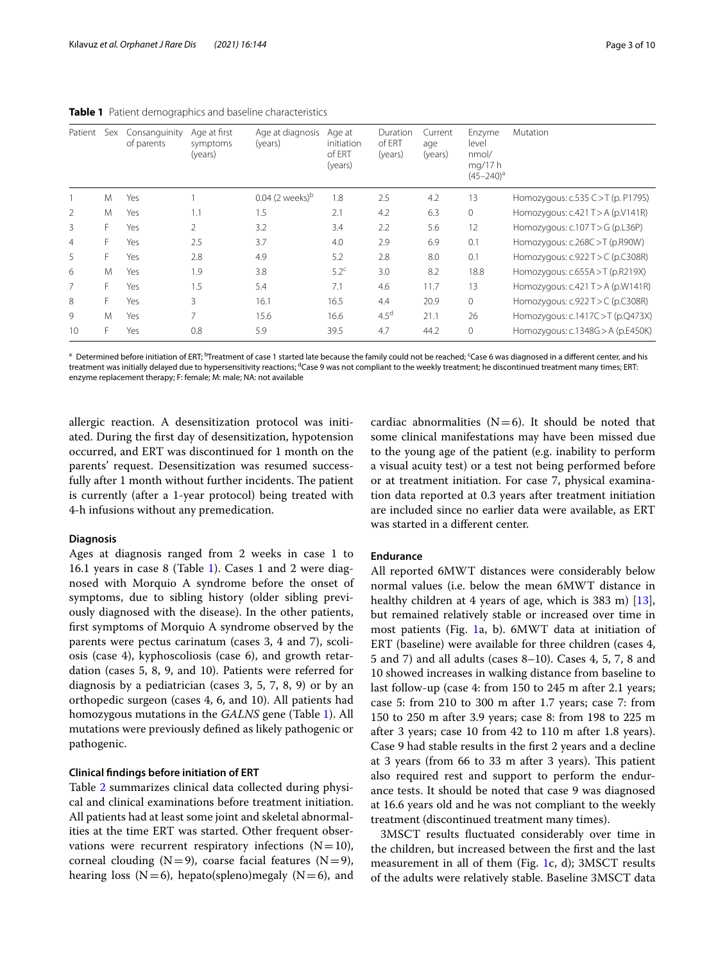| Patient        | Sex | Consanguinity<br>of parents | Age at first<br>symptoms<br>(years) | Age at diagnosis<br>(years) | Age at<br>initiation<br>of ERT<br>(years) | Duration<br>of ERT<br>(years) | Current<br>age<br>(years) | Enzyme<br>level<br>nmol/<br>mg/17 h<br>$(45 - 240)^a$ | Mutation                            |
|----------------|-----|-----------------------------|-------------------------------------|-----------------------------|-------------------------------------------|-------------------------------|---------------------------|-------------------------------------------------------|-------------------------------------|
|                | M   | Yes                         |                                     | 0.04 (2 weeks) <sup>b</sup> | 1.8                                       | 2.5                           | 4.2                       | 13                                                    | Homozygous: c.535 C > T (p. P179S)  |
| 2              | M   | Yes                         | 1.1                                 | 1.5                         | 2.1                                       | 4.2                           | 6.3                       | $\mathbf{0}$                                          | Homozygous: $c.421 T > A$ (p.V141R) |
| 3              |     | Yes                         | 2                                   | 3.2                         | 3.4                                       | 2.2                           | 5.6                       | 12                                                    | Homozygous: c.107 T > G (p.L36P)    |
| $\overline{4}$ |     | Yes                         | 2.5                                 | 3.7                         | 4.0                                       | 2.9                           | 6.9                       | 0.1                                                   | Homozygous: c.268C >T (p.R90W)      |
| 5              |     | Yes                         | 2.8                                 | 4.9                         | 5.2                                       | 2.8                           | 8.0                       | 0.1                                                   | Homozygous: $c.922 T>C$ (p.C308R)   |
| 6              | M   | Yes                         | 1.9                                 | 3.8                         | $5.2^c$                                   | 3.0                           | 8.2                       | 18.8                                                  | Homozygous: $c.655A > T$ (p.R219X)  |
| 7              |     | Yes                         | 1.5                                 | 5.4                         | 7.1                                       | 4.6                           | 11.7                      | 13                                                    | Homozygous: $c.421 T > A$ (p.W141R) |
| 8              |     | Yes                         | 3                                   | 16.1                        | 16.5                                      | 4.4                           | 20.9                      | $\mathbf{0}$                                          | Homozygous: $c.922 T>C$ (p.C308R)   |
| 9              | M   | Yes                         | 7                                   | 15.6                        | 16.6                                      | 4.5 <sup>d</sup>              | 21.1                      | 26                                                    | Homozygous: c.1417C > T (p.Q473X)   |
| 10             |     | Yes                         | 0.8                                 | 5.9                         | 39.5                                      | 4.7                           | 44.2                      | $\mathbf{0}$                                          | Homozygous: c.1348G > A (p.E450K)   |

<span id="page-2-0"></span>**Table 1** Patient demographics and baseline characteristics

 $^{\text{a}}$  Determined before initiation of ERT;  $^{\text{b}}$ Treatment of case 1 started late because the family could not be reached; <sup>c</sup>Case 6 was diagnosed in a different center, and his treatment was initially delayed due to hypersensitivity reactions; <sup>d</sup>Case 9 was not compliant to the weekly treatment; he discontinued treatment many times; ERT: enzyme replacement therapy; F: female; M: male; NA: not available

allergic reaction. A desensitization protocol was initiated. During the frst day of desensitization, hypotension occurred, and ERT was discontinued for 1 month on the parents' request. Desensitization was resumed successfully after 1 month without further incidents. The patient is currently (after a 1-year protocol) being treated with 4-h infusions without any premedication.

#### **Diagnosis**

Ages at diagnosis ranged from 2 weeks in case 1 to 16.1 years in case 8 (Table [1\)](#page-2-0). Cases 1 and 2 were diagnosed with Morquio A syndrome before the onset of symptoms, due to sibling history (older sibling previously diagnosed with the disease). In the other patients, frst symptoms of Morquio A syndrome observed by the parents were pectus carinatum (cases 3, 4 and 7), scoliosis (case 4), kyphoscoliosis (case 6), and growth retardation (cases 5, 8, 9, and 10). Patients were referred for diagnosis by a pediatrician (cases 3, 5, 7, 8, 9) or by an orthopedic surgeon (cases 4, 6, and 10). All patients had homozygous mutations in the *GALNS* gene (Table [1](#page-2-0)). All mutations were previously defned as likely pathogenic or pathogenic.

#### **Clinical fndings before initiation of ERT**

Table [2](#page-3-0) summarizes clinical data collected during physical and clinical examinations before treatment initiation. All patients had at least some joint and skeletal abnormalities at the time ERT was started. Other frequent observations were recurrent respiratory infections  $(N=10)$ , corneal clouding  $(N=9)$ , coarse facial features  $(N=9)$ , hearing loss  $(N=6)$ , hepato(spleno)megaly  $(N=6)$ , and cardiac abnormalities  $(N=6)$ . It should be noted that some clinical manifestations may have been missed due to the young age of the patient (e.g. inability to perform a visual acuity test) or a test not being performed before or at treatment initiation. For case 7, physical examination data reported at 0.3 years after treatment initiation are included since no earlier data were available, as ERT was started in a diferent center.

#### **Endurance**

All reported 6MWT distances were considerably below normal values (i.e. below the mean 6MWT distance in healthy children at 4 years of age, which is 383 m) [\[13](#page-9-4)], but remained relatively stable or increased over time in most patients (Fig. [1a](#page-6-0), b). 6MWT data at initiation of ERT (baseline) were available for three children (cases 4, 5 and 7) and all adults (cases 8–10). Cases 4, 5, 7, 8 and 10 showed increases in walking distance from baseline to last follow-up (case 4: from 150 to 245 m after 2.1 years; case 5: from 210 to 300 m after 1.7 years; case 7: from 150 to 250 m after 3.9 years; case 8: from 198 to 225 m after 3 years; case 10 from 42 to 110 m after 1.8 years). Case 9 had stable results in the frst 2 years and a decline at 3 years (from 66 to 33 m after 3 years). This patient also required rest and support to perform the endurance tests. It should be noted that case 9 was diagnosed at 16.6 years old and he was not compliant to the weekly treatment (discontinued treatment many times).

3MSCT results fuctuated considerably over time in the children, but increased between the frst and the last measurement in all of them (Fig. [1](#page-6-0)c, d); 3MSCT results of the adults were relatively stable. Baseline 3MSCT data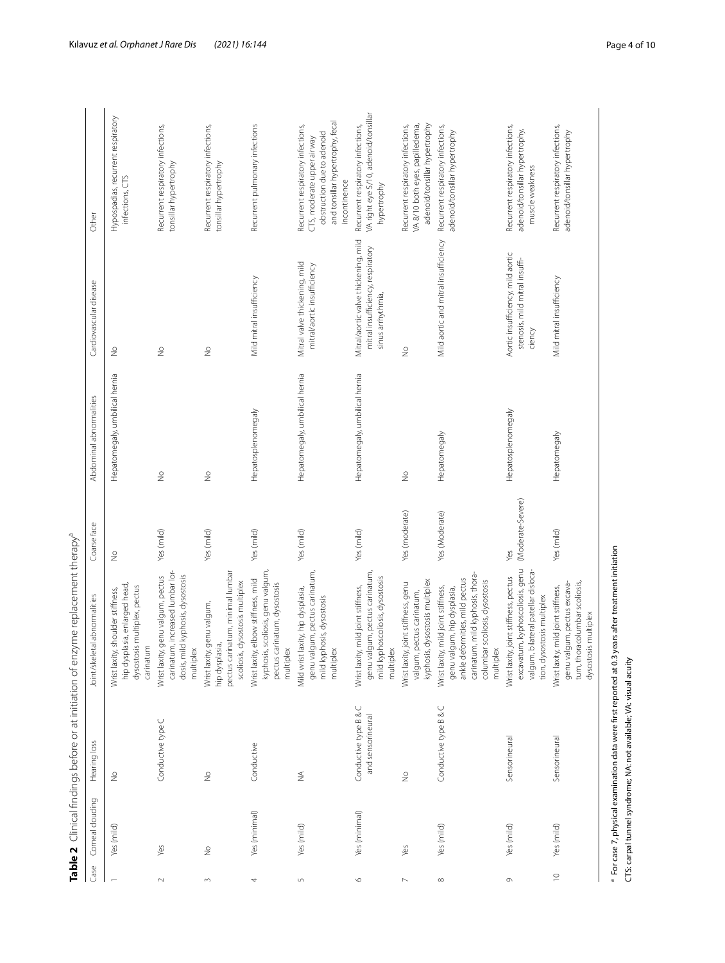|                  |                  |                                            | Table 2 Clinical findings before or at initiation of enzyme replacement therapy <sup>a</sup>                                                                                                  |                          |                                |                                                                                                |                                                                                                                                                   |
|------------------|------------------|--------------------------------------------|-----------------------------------------------------------------------------------------------------------------------------------------------------------------------------------------------|--------------------------|--------------------------------|------------------------------------------------------------------------------------------------|---------------------------------------------------------------------------------------------------------------------------------------------------|
| Gase             | Corneal clouding | Hearing loss                               | Joint/skeletal abnormalities                                                                                                                                                                  | Coarse face              | Abdominal abnormalities        | Cardiovascular disease                                                                         | Other                                                                                                                                             |
|                  | Yes (mild)       | $\stackrel{\circ}{\geq}$                   | hip dysplasia, enlarged head,<br>dysostosis multiplex, pectus<br>shoulder stiffness,<br>carinatum<br>Wrist laxity,                                                                            | $\geq$                   | Hepatomegaly, umbilical hernia | $\stackrel{\circ}{\geq}$                                                                       | Hypospadias, recurrent respiratory<br>infections, CTS                                                                                             |
| $\sim$           | Yes              | Conductive type C                          | carinatum, increased lumbar lor-<br>Wrist laxity, genu valgum, pectus<br>dosis, mild kyphosis, dysostosis<br>multiplex                                                                        | Yes (mild)               | $\stackrel{\circ}{\geq}$       | $\frac{1}{2}$                                                                                  | Recurrent respiratory infections,<br>tonsillar hypertrophy                                                                                        |
| 3                | $\frac{1}{2}$    | $\frac{1}{2}$                              | pectus carinatum, minimal lumbar<br>scoliosis, dysostosis multiplex<br>genu valgum,<br>hip dysplasia,<br>Wrist laxity,                                                                        | Yes (mild)               | $\frac{1}{2}$                  | $\frac{1}{2}$                                                                                  | Recurrent respiratory infections,<br>tonsillar hypertrophy                                                                                        |
| 4                | Yes (minimal)    | Conductive                                 | kyphosis, scoliosis, genu valgum<br>Wrist laxity, elbow stiffness, mild<br>pectus carinatum, dysostosis<br>multiplex                                                                          | Yes (mild)               | Hepatosplenomegaly             | Mild mitral insufficiency                                                                      | Recurrent pulmonary infections                                                                                                                    |
| $\mathsf{L}\cap$ | Yes (mild)       | ₹                                          | genu valgum, pectus carinatum,<br>Mild wrist laxity, hip dysplasia,<br>mild kyphosis, dysostosis<br>multiplex                                                                                 | Yes (mild)               | Hepatomegaly, umbilical hernia | Mitral valve thickening, mild<br>mitral/aortic insufficiency                                   | and tonsillar hypertrophy, fecal<br>Recurrent respiratory infections,<br>obstruction due to adenoid<br>CTS, moderate upper airway<br>incontinence |
| $\circ$          | Yes (minimal)    | Conductive type B & C<br>and sensorineural | genu valgum, pectus carinatum,<br>mild kyphoscoliosis, dysostosis<br>mild joint stiffness,<br>multiplex<br>Wrist laxity,                                                                      | Yes (mild)               | Hepatomegaly, umbilical hernia | Mitral/aortic valve thickening, mild<br>mitral insufficiency, respiratory<br>sinus arrhythmia, | VA right eye 5/10, adenoid/tonsillar<br>Recurrent respiratory infections,<br>hypertrophy                                                          |
|                  | Yes              | $\frac{1}{2}$                              | kyphosis, dysostosis multiplex<br>Wrist laxity, joint stiffness, genu<br>valgum, pectus carinatum,                                                                                            | Yes (moderate)           | $\frac{1}{2}$                  | $\frac{1}{2}$                                                                                  | adenoid/tonsillar hypertrophy<br>VA 8/10 both eyes, papilledema,<br>Recurrent respiratory infections,                                             |
| $\infty$         | Yes (mild)       | Conductive type B & C                      | carinatum, mild kyphosis, thora-<br>ankle deformities, mild pectus<br>scoliosis, dysostosis<br>mild joint stiffness,<br>genu valgum, hip dysplasia,<br>columbar<br>multiplex<br>Wrist laxity, | Yes (Moderate)           | Hepatomegaly                   | Mild aortic and mitral insufficiency                                                           | Recurrent respiratory infections,<br>adenoid/tonsillar hypertrophy                                                                                |
| Ò                | Yes (mild)       | Sensorineural                              | excavatum, kyphoscoliosis, genu<br>valgum, bilateral patellar disloca-<br>Wrist laxity, joint stiffness, pectus<br>tion, dysostosis multiplex                                                 | (Moderate-Severe)<br>Yes | Hepatosplenomegaly             | Aortic insufficiency, mild aortic<br>stenosis, mild mitral insuffi-<br>ciency                  | Recurrent respiratory infections,<br>adenoid/tonsillar hypertrophy,<br>muscle weakness                                                            |
| $\supseteq$      | Yes (mild)       | Sensorineural                              | tum, thoracolumbar scoliosis,<br>genu valgum, pectus excava-<br>Wrist laxity, mild joint stiffness,<br>dysostosis multiplex                                                                   | Yes (mild)               | Hepatomegaly                   | Mild mitral insufficiency                                                                      | Recurrent respiratory infections,<br>adenoid/tonsillar hypertrophy                                                                                |

<span id="page-3-0"></span>Table 2 Clinical findings before or at initiation of enzyme replacement therapy<sup>a</sup>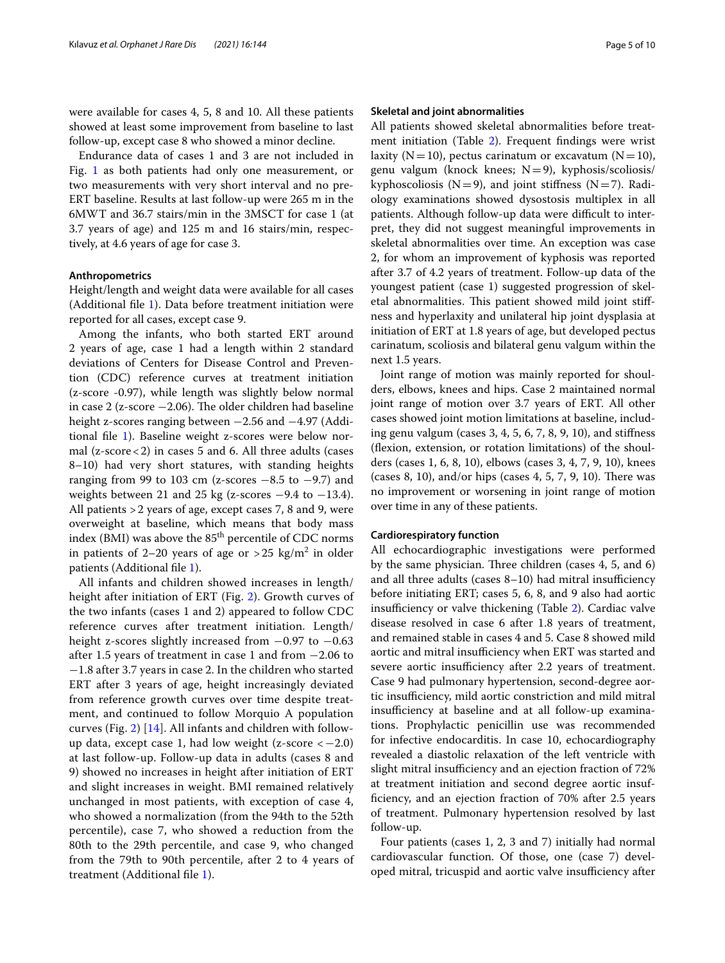were available for cases 4, 5, 8 and 10. All these patients showed at least some improvement from baseline to last follow-up, except case 8 who showed a minor decline.

Endurance data of cases 1 and 3 are not included in Fig. [1](#page-6-0) as both patients had only one measurement, or two measurements with very short interval and no pre-ERT baseline. Results at last follow-up were 265 m in the 6MWT and 36.7 stairs/min in the 3MSCT for case 1 (at 3.7 years of age) and 125 m and 16 stairs/min, respectively, at 4.6 years of age for case 3.

#### **Anthropometrics**

Height/length and weight data were available for all cases (Additional fle [1\)](#page-8-5). Data before treatment initiation were reported for all cases, except case 9.

Among the infants, who both started ERT around 2 years of age, case 1 had a length within 2 standard deviations of Centers for Disease Control and Prevention (CDC) reference curves at treatment initiation (z-score -0.97), while length was slightly below normal in case 2 (z-score  $-2.06$ ). The older children had baseline height z-scores ranging between −2.56 and −4.97 (Additional fle [1](#page-8-5)). Baseline weight z-scores were below normal (z-score<2) in cases 5 and 6. All three adults (cases 8–10) had very short statures, with standing heights ranging from 99 to 103 cm (z-scores  $-8.5$  to  $-9.7$ ) and weights between 21 and 25 kg (z-scores  $-9.4$  to  $-13.4$ ). All patients >2 years of age, except cases 7, 8 and 9, were overweight at baseline, which means that body mass index (BMI) was above the  $85<sup>th</sup>$  percentile of CDC norms in patients of 2–20 years of age or  $>$  25  $\text{kg/m}^2$  in older patients (Additional fle [1](#page-8-5)).

All infants and children showed increases in length/ height after initiation of ERT (Fig. [2](#page-6-1)). Growth curves of the two infants (cases 1 and 2) appeared to follow CDC reference curves after treatment initiation. Length/ height z-scores slightly increased from  $-0.97$  to  $-0.63$ after 1.5 years of treatment in case 1 and from −2.06 to −1.8 after 3.7 years in case 2. In the children who started ERT after 3 years of age, height increasingly deviated from reference growth curves over time despite treatment, and continued to follow Morquio A population curves (Fig. [2](#page-6-1)) [\[14](#page-9-5)]. All infants and children with followup data, except case 1, had low weight  $(z\text{-}score < -2.0)$ at last follow-up. Follow-up data in adults (cases 8 and 9) showed no increases in height after initiation of ERT and slight increases in weight. BMI remained relatively unchanged in most patients, with exception of case 4, who showed a normalization (from the 94th to the 52th percentile), case 7, who showed a reduction from the 80th to the 29th percentile, and case 9, who changed from the 79th to 90th percentile, after 2 to 4 years of treatment (Additional fle [1\)](#page-8-5).

#### **Skeletal and joint abnormalities**

All patients showed skeletal abnormalities before treatment initiation (Table [2\)](#page-3-0). Frequent fndings were wrist laxity ( $N=10$ ), pectus carinatum or excavatum ( $N=10$ ), genu valgum (knock knees;  $N=9$ ), kyphosis/scoliosis/ kyphoscoliosis ( $N=9$ ), and joint stiffness ( $N=7$ ). Radiology examinations showed dysostosis multiplex in all patients. Although follow-up data were difficult to interpret, they did not suggest meaningful improvements in skeletal abnormalities over time. An exception was case 2, for whom an improvement of kyphosis was reported after 3.7 of 4.2 years of treatment. Follow-up data of the youngest patient (case 1) suggested progression of skeletal abnormalities. This patient showed mild joint stiffness and hyperlaxity and unilateral hip joint dysplasia at initiation of ERT at 1.8 years of age, but developed pectus carinatum, scoliosis and bilateral genu valgum within the next 1.5 years.

Joint range of motion was mainly reported for shoulders, elbows, knees and hips. Case 2 maintained normal joint range of motion over 3.7 years of ERT. All other cases showed joint motion limitations at baseline, including genu valgum (cases 3, 4, 5, 6, 7, 8, 9, 10), and stifness (fexion, extension, or rotation limitations) of the shoulders (cases 1, 6, 8, 10), elbows (cases 3, 4, 7, 9, 10), knees (cases 8, 10), and/or hips (cases  $4, 5, 7, 9, 10$ ). There was no improvement or worsening in joint range of motion over time in any of these patients.

#### **Cardiorespiratory function**

All echocardiographic investigations were performed by the same physician. Three children (cases  $4, 5$ , and  $6$ ) and all three adults (cases  $8-10$ ) had mitral insufficiency before initiating ERT; cases 5, 6, 8, and 9 also had aortic insufficiency or valve thickening (Table [2\)](#page-3-0). Cardiac valve disease resolved in case 6 after 1.8 years of treatment, and remained stable in cases 4 and 5. Case 8 showed mild aortic and mitral insufficiency when ERT was started and severe aortic insufficiency after 2.2 years of treatment. Case 9 had pulmonary hypertension, second-degree aortic insufficiency, mild aortic constriction and mild mitral insufficiency at baseline and at all follow-up examinations. Prophylactic penicillin use was recommended for infective endocarditis. In case 10, echocardiography revealed a diastolic relaxation of the left ventricle with slight mitral insufficiency and an ejection fraction of 72% at treatment initiation and second degree aortic insuffciency, and an ejection fraction of 70% after 2.5 years of treatment. Pulmonary hypertension resolved by last follow-up.

Four patients (cases 1, 2, 3 and 7) initially had normal cardiovascular function. Of those, one (case 7) developed mitral, tricuspid and aortic valve insufficiency after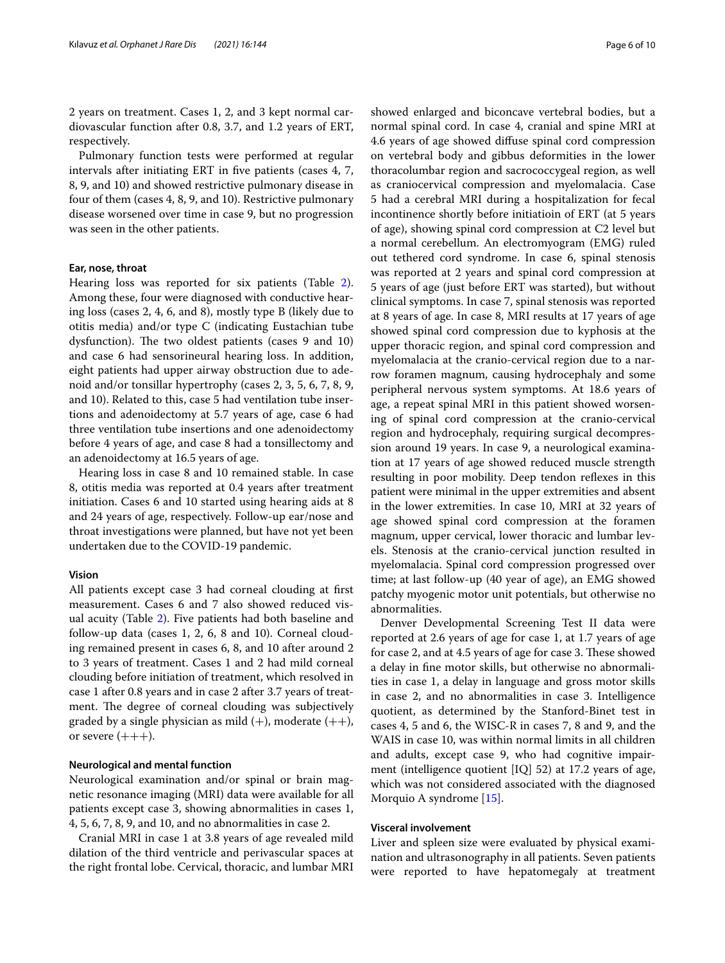2 years on treatment. Cases 1, 2, and 3 kept normal cardiovascular function after 0.8, 3.7, and 1.2 years of ERT, respectively.

Pulmonary function tests were performed at regular intervals after initiating ERT in fve patients (cases 4, 7, 8, 9, and 10) and showed restrictive pulmonary disease in four of them (cases 4, 8, 9, and 10). Restrictive pulmonary disease worsened over time in case 9, but no progression was seen in the other patients.

#### **Ear, nose, throat**

Hearing loss was reported for six patients (Table [2](#page-3-0)). Among these, four were diagnosed with conductive hearing loss (cases 2, 4, 6, and 8), mostly type B (likely due to otitis media) and/or type C (indicating Eustachian tube dysfunction). The two oldest patients (cases 9 and 10) and case 6 had sensorineural hearing loss. In addition, eight patients had upper airway obstruction due to adenoid and/or tonsillar hypertrophy (cases 2, 3, 5, 6, 7, 8, 9, and 10). Related to this, case 5 had ventilation tube insertions and adenoidectomy at 5.7 years of age, case 6 had three ventilation tube insertions and one adenoidectomy before 4 years of age, and case 8 had a tonsillectomy and an adenoidectomy at 16.5 years of age.

Hearing loss in case 8 and 10 remained stable. In case 8, otitis media was reported at 0.4 years after treatment initiation. Cases 6 and 10 started using hearing aids at 8 and 24 years of age, respectively. Follow-up ear/nose and throat investigations were planned, but have not yet been undertaken due to the COVID-19 pandemic.

#### **Vision**

All patients except case 3 had corneal clouding at frst measurement. Cases 6 and 7 also showed reduced visual acuity (Table [2\)](#page-3-0). Five patients had both baseline and follow-up data (cases 1, 2, 6, 8 and 10). Corneal clouding remained present in cases 6, 8, and 10 after around 2 to 3 years of treatment. Cases 1 and 2 had mild corneal clouding before initiation of treatment, which resolved in case 1 after 0.8 years and in case 2 after 3.7 years of treatment. The degree of corneal clouding was subjectively graded by a single physician as mild  $(+)$ , moderate  $(++)$ , or severe  $(++)$ .

#### **Neurological and mental function**

Neurological examination and/or spinal or brain magnetic resonance imaging (MRI) data were available for all patients except case 3, showing abnormalities in cases 1, 4, 5, 6, 7, 8, 9, and 10, and no abnormalities in case 2.

Cranial MRI in case 1 at 3.8 years of age revealed mild dilation of the third ventricle and perivascular spaces at the right frontal lobe. Cervical, thoracic, and lumbar MRI showed enlarged and biconcave vertebral bodies, but a normal spinal cord. In case 4, cranial and spine MRI at 4.6 years of age showed difuse spinal cord compression on vertebral body and gibbus deformities in the lower thoracolumbar region and sacrococcygeal region, as well as craniocervical compression and myelomalacia. Case 5 had a cerebral MRI during a hospitalization for fecal incontinence shortly before initiatioin of ERT (at 5 years of age), showing spinal cord compression at C2 level but a normal cerebellum. An electromyogram (EMG) ruled out tethered cord syndrome. In case 6, spinal stenosis was reported at 2 years and spinal cord compression at 5 years of age (just before ERT was started), but without clinical symptoms. In case 7, spinal stenosis was reported at 8 years of age. In case 8, MRI results at 17 years of age showed spinal cord compression due to kyphosis at the upper thoracic region, and spinal cord compression and myelomalacia at the cranio-cervical region due to a narrow foramen magnum, causing hydrocephaly and some peripheral nervous system symptoms. At 18.6 years of age, a repeat spinal MRI in this patient showed worsening of spinal cord compression at the cranio-cervical region and hydrocephaly, requiring surgical decompression around 19 years. In case 9, a neurological examination at 17 years of age showed reduced muscle strength resulting in poor mobility. Deep tendon refexes in this patient were minimal in the upper extremities and absent in the lower extremities. In case 10, MRI at 32 years of age showed spinal cord compression at the foramen magnum, upper cervical, lower thoracic and lumbar levels. Stenosis at the cranio-cervical junction resulted in myelomalacia. Spinal cord compression progressed over time; at last follow-up (40 year of age), an EMG showed patchy myogenic motor unit potentials, but otherwise no abnormalities.

Denver Developmental Screening Test II data were reported at 2.6 years of age for case 1, at 1.7 years of age for case 2, and at 4.5 years of age for case 3. These showed a delay in fne motor skills, but otherwise no abnormalities in case 1, a delay in language and gross motor skills in case 2, and no abnormalities in case 3. Intelligence quotient, as determined by the Stanford-Binet test in cases 4, 5 and 6, the WISC-R in cases 7, 8 and 9, and the WAIS in case 10, was within normal limits in all children and adults, except case 9, who had cognitive impairment (intelligence quotient [IQ] 52) at 17.2 years of age, which was not considered associated with the diagnosed Morquio A syndrome [[15\]](#page-9-6).

#### **Visceral involvement**

Liver and spleen size were evaluated by physical examination and ultrasonography in all patients. Seven patients were reported to have hepatomegaly at treatment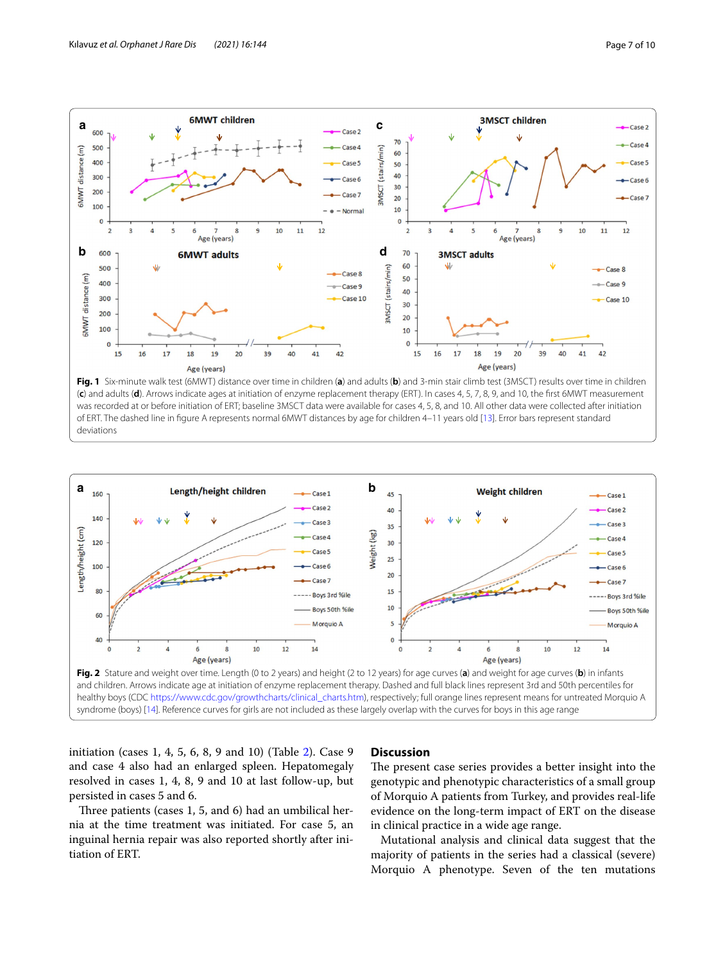

<span id="page-6-0"></span>



<span id="page-6-1"></span>

initiation (cases 1, 4, 5, 6, 8, 9 and 10) (Table [2\)](#page-3-0). Case 9 and case 4 also had an enlarged spleen. Hepatomegaly resolved in cases 1, 4, 8, 9 and 10 at last follow-up, but persisted in cases 5 and 6.

Three patients (cases  $1, 5$ , and  $6$ ) had an umbilical hernia at the time treatment was initiated. For case 5, an inguinal hernia repair was also reported shortly after initiation of ERT.

### **Discussion**

The present case series provides a better insight into the genotypic and phenotypic characteristics of a small group of Morquio A patients from Turkey, and provides real-life evidence on the long-term impact of ERT on the disease in clinical practice in a wide age range.

Mutational analysis and clinical data suggest that the majority of patients in the series had a classical (severe) Morquio A phenotype. Seven of the ten mutations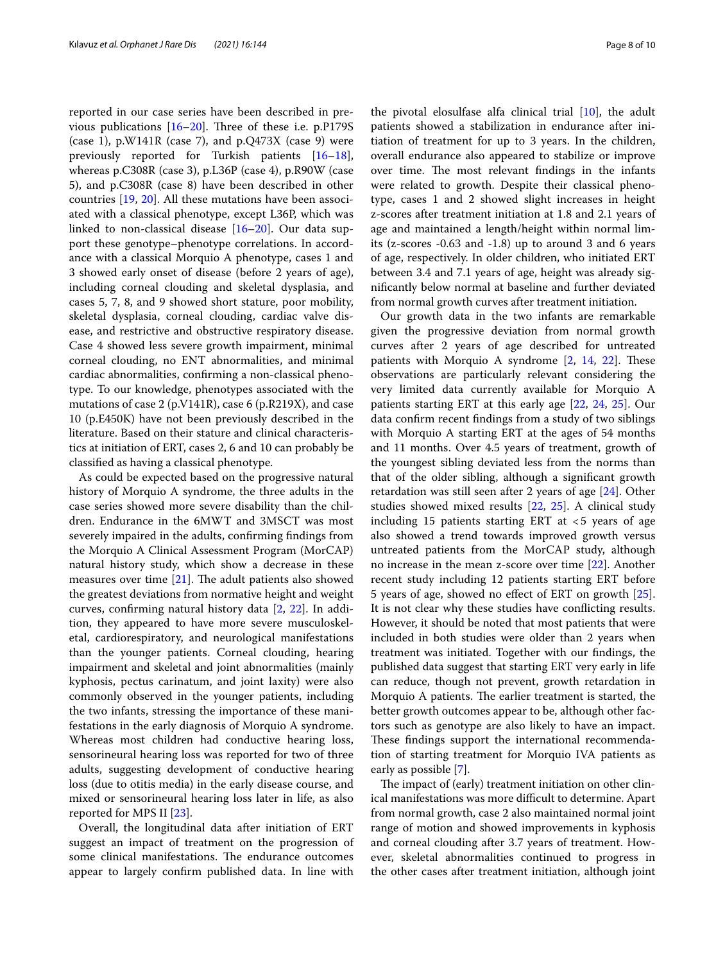reported in our case series have been described in previous publications  $[16–20]$  $[16–20]$ . Three of these i.e. p.P179S (case 1),  $p.W141R$  (case 7), and  $p.Q473X$  (case 9) were previously reported for Turkish patients [[16](#page-9-7)[–18](#page-9-9)], whereas p.C308R (case 3), p.L36P (case 4), p.R90W (case 5), and p.C308R (case 8) have been described in other countries [\[19,](#page-9-10) [20\]](#page-9-8). All these mutations have been associated with a classical phenotype, except L36P, which was linked to non-classical disease [[16–](#page-9-7)[20](#page-9-8)]. Our data support these genotype–phenotype correlations. In accordance with a classical Morquio A phenotype, cases 1 and 3 showed early onset of disease (before 2 years of age), including corneal clouding and skeletal dysplasia, and cases 5, 7, 8, and 9 showed short stature, poor mobility, skeletal dysplasia, corneal clouding, cardiac valve disease, and restrictive and obstructive respiratory disease. Case 4 showed less severe growth impairment, minimal corneal clouding, no ENT abnormalities, and minimal cardiac abnormalities, confrming a non-classical phenotype. To our knowledge, phenotypes associated with the mutations of case 2 (p.V141R), case 6 (p.R219X), and case 10 (p.E450K) have not been previously described in the literature. Based on their stature and clinical characteristics at initiation of ERT, cases 2, 6 and 10 can probably be classifed as having a classical phenotype.

As could be expected based on the progressive natural history of Morquio A syndrome, the three adults in the case series showed more severe disability than the children. Endurance in the 6MWT and 3MSCT was most severely impaired in the adults, confrming fndings from the Morquio A Clinical Assessment Program (MorCAP) natural history study, which show a decrease in these measures over time  $[21]$ . The adult patients also showed the greatest deviations from normative height and weight curves, confrming natural history data [\[2](#page-8-1), [22](#page-9-12)]. In addition, they appeared to have more severe musculoskeletal, cardiorespiratory, and neurological manifestations than the younger patients. Corneal clouding, hearing impairment and skeletal and joint abnormalities (mainly kyphosis, pectus carinatum, and joint laxity) were also commonly observed in the younger patients, including the two infants, stressing the importance of these manifestations in the early diagnosis of Morquio A syndrome. Whereas most children had conductive hearing loss, sensorineural hearing loss was reported for two of three adults, suggesting development of conductive hearing loss (due to otitis media) in the early disease course, and mixed or sensorineural hearing loss later in life, as also reported for MPS II [\[23\]](#page-9-13).

Overall, the longitudinal data after initiation of ERT suggest an impact of treatment on the progression of some clinical manifestations. The endurance outcomes appear to largely confrm published data. In line with

the pivotal elosulfase alfa clinical trial [\[10](#page-9-2)], the adult patients showed a stabilization in endurance after initiation of treatment for up to 3 years. In the children, overall endurance also appeared to stabilize or improve over time. The most relevant findings in the infants were related to growth. Despite their classical phenotype, cases 1 and 2 showed slight increases in height z-scores after treatment initiation at 1.8 and 2.1 years of age and maintained a length/height within normal limits (z-scores -0.63 and -1.8) up to around 3 and 6 years of age, respectively. In older children, who initiated ERT between 3.4 and 7.1 years of age, height was already signifcantly below normal at baseline and further deviated from normal growth curves after treatment initiation.

Our growth data in the two infants are remarkable given the progressive deviation from normal growth curves after 2 years of age described for untreated patients with Morquio A syndrome  $[2, 14, 22]$  $[2, 14, 22]$  $[2, 14, 22]$  $[2, 14, 22]$  $[2, 14, 22]$ . These observations are particularly relevant considering the very limited data currently available for Morquio A patients starting ERT at this early age [\[22](#page-9-12), [24,](#page-9-14) [25\]](#page-9-15). Our data confrm recent fndings from a study of two siblings with Morquio A starting ERT at the ages of 54 months and 11 months. Over 4.5 years of treatment, growth of the youngest sibling deviated less from the norms than that of the older sibling, although a signifcant growth retardation was still seen after 2 years of age [[24\]](#page-9-14). Other studies showed mixed results [[22](#page-9-12), [25\]](#page-9-15). A clinical study including 15 patients starting ERT at  $<$  5 years of age also showed a trend towards improved growth versus untreated patients from the MorCAP study, although no increase in the mean z-score over time [[22\]](#page-9-12). Another recent study including 12 patients starting ERT before 5 years of age, showed no efect of ERT on growth [\[25](#page-9-15)]. It is not clear why these studies have conficting results. However, it should be noted that most patients that were included in both studies were older than 2 years when treatment was initiated. Together with our fndings, the published data suggest that starting ERT very early in life can reduce, though not prevent, growth retardation in Morquio A patients. The earlier treatment is started, the better growth outcomes appear to be, although other factors such as genotype are also likely to have an impact. These findings support the international recommendation of starting treatment for Morquio IVA patients as early as possible [[7\]](#page-8-4).

The impact of (early) treatment initiation on other clinical manifestations was more difficult to determine. Apart from normal growth, case 2 also maintained normal joint range of motion and showed improvements in kyphosis and corneal clouding after 3.7 years of treatment. However, skeletal abnormalities continued to progress in the other cases after treatment initiation, although joint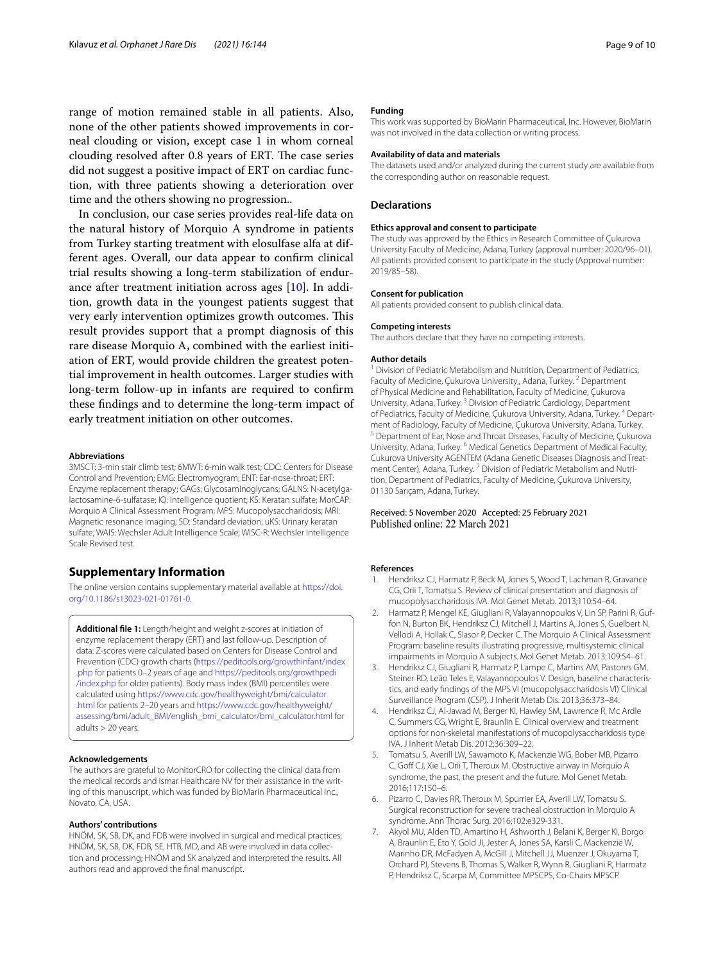range of motion remained stable in all patients. Also, none of the other patients showed improvements in corneal clouding or vision, except case 1 in whom corneal clouding resolved after 0.8 years of ERT. The case series did not suggest a positive impact of ERT on cardiac function, with three patients showing a deterioration over time and the others showing no progression..

In conclusion, our case series provides real-life data on the natural history of Morquio A syndrome in patients from Turkey starting treatment with elosulfase alfa at different ages. Overall, our data appear to confrm clinical trial results showing a long-term stabilization of endurance after treatment initiation across ages [[10](#page-9-2)]. In addition, growth data in the youngest patients suggest that very early intervention optimizes growth outcomes. This result provides support that a prompt diagnosis of this rare disease Morquio A, combined with the earliest initiation of ERT, would provide children the greatest potential improvement in health outcomes. Larger studies with long-term follow-up in infants are required to confrm these fndings and to determine the long-term impact of early treatment initiation on other outcomes.

#### **Abbreviations**

3MSCT: 3-min stair climb test; 6MWT: 6-min walk test; CDC: Centers for Disease Control and Prevention; EMG: Electromyogram; ENT: Ear-nose-throat; ERT: Enzyme replacement therapy; GAGs: Glycosaminoglycans; GALNS: N-acetylgalactosamine-6-sulfatase; IQ: Intelligence quotient; KS: Keratan sulfate; MorCAP: Morquio A Clinical Assessment Program; MPS: Mucopolysaccharidosis; MRI: Magnetic resonance imaging; SD: Standard deviation; uKS: Urinary keratan sulfate; WAIS: Wechsler Adult Intelligence Scale; WISC-R: Wechsler Intelligence Scale Revised test.

#### **Supplementary Information**

The online version contains supplementary material available at [https://doi.](https://doi.org/10.1186/s13023-021-01761-0) [org/10.1186/s13023-021-01761-0](https://doi.org/10.1186/s13023-021-01761-0).

<span id="page-8-5"></span>**Additional fle 1:** Length/height and weight z-scores at initiation of enzyme replacement therapy (ERT) and last follow-up. Description of data: Z-scores were calculated based on Centers for Disease Control and Prevention (CDC) growth charts [\(https://peditools.org/growthinfant/index](https://peditools.org/growthinfant/index.php) [.php](https://peditools.org/growthinfant/index.php) for patients 0–2 years of age and [https://peditools.org/growthpedi](https://peditools.org/growthpedi/index.php) [/index.php](https://peditools.org/growthpedi/index.php) for older patients). Body mass index (BMI) percentiles were calculated using [https://www.cdc.gov/healthyweight/bmi/calculator](https://www.cdc.gov/healthyweight/bmi/calculator.html) [.html](https://www.cdc.gov/healthyweight/bmi/calculator.html) for patients 2–20 years and [https://www.cdc.gov/healthyweight/](https://www.cdc.gov/healthyweight/assessing/bmi/adult_BMI/english_bmi_calculator/bmi_calculator.html) [assessing/bmi/adult\\_BMI/english\\_bmi\\_calculator/bmi\\_calculator.html](https://www.cdc.gov/healthyweight/assessing/bmi/adult_BMI/english_bmi_calculator/bmi_calculator.html) for adults > 20 years.

#### **Acknowledgements**

The authors are grateful to MonitorCRO for collecting the clinical data from the medical records and Ismar Healthcare NV for their assistance in the writing of this manuscript, which was funded by BioMarin Pharmaceutical Inc., Novato, CA, USA.

#### **Authors' contributions**

HNÖM, SK, SB, DK, and FDB were involved in surgical and medical practices; HNÖM, SK, SB, DK, FDB, SE, HTB, MD, and AB were involved in data collection and processing; HNÖM and SK analyzed and interpreted the results. All authors read and approved the fnal manuscript.

#### **Funding**

This work was supported by BioMarin Pharmaceutical, Inc. However, BioMarin was not involved in the data collection or writing process.

#### **Availability of data and materials**

The datasets used and/or analyzed during the current study are available from the corresponding author on reasonable request.

#### **Declarations**

#### **Ethics approval and consent to participate**

The study was approved by the Ethics in Research Committee of Çukurova University Faculty of Medicine, Adana, Turkey (approval number: 2020/96–01). All patients provided consent to participate in the study (Approval number: 2019/85–58).

#### **Consent for publication**

All patients provided consent to publish clinical data.

#### **Competing interests**

The authors declare that they have no competing interests.

#### **Author details**

<sup>1</sup> Division of Pediatric Metabolism and Nutrition, Department of Pediatrics, Faculty of Medicine, Çukurova University,, Adana, Turkey.<sup>2</sup> Department of Physical Medicine and Rehabilitation, Faculty of Medicine, Çukurova University, Adana, Turkey. 3 Division of Pediatric Cardiology, Department of Pediatrics, Faculty of Medicine, Çukurova University, Adana, Turkey. 4 Department of Radiology, Faculty of Medicine, Çukurova University, Adana, Turkey.<br><sup>5</sup> Department of Ear, Nose and Throat Diseases, Faculty of Medicine, Çukurova University, Adana, Turkey. 6 Medical Genetics Department of Medical Faculty, Cukurova University AGENTEM (Adana Genetic Diseases Diagnosis and Treatment Center), Adana, Turkey.<sup>7</sup> Division of Pediatric Metabolism and Nutrition, Department of Pediatrics, Faculty of Medicine, Çukurova University, 01130 Sarıçam, Adana, Turkey.

# Received: 5 November 2020 Accepted: 25 February 2021

#### **References**

- <span id="page-8-0"></span>1. Hendriksz CJ, Harmatz P, Beck M, Jones S, Wood T, Lachman R, Gravance CG, Orii T, Tomatsu S. Review of clinical presentation and diagnosis of mucopolysaccharidosis IVA. Mol Genet Metab. 2013;110:54–64.
- <span id="page-8-1"></span>2. Harmatz P, Mengel KE, Giugliani R, Valayannopoulos V, Lin SP, Parini R, Guffon N, Burton BK, Hendriksz CJ, Mitchell J, Martins A, Jones S, Guelbert N, Vellodi A, Hollak C, Slasor P, Decker C. The Morquio A Clinical Assessment Program: baseline results illustrating progressive, multisystemic clinical impairments in Morquio A subjects. Mol Genet Metab. 2013;109:54–61.
- <span id="page-8-2"></span>3. Hendriksz CJ, Giugliani R, Harmatz P, Lampe C, Martins AM, Pastores GM, Steiner RD, Leão Teles E, Valayannopoulos V. Design, baseline characteristics, and early fndings of the MPS VI (mucopolysaccharidosis VI) Clinical Surveillance Program (CSP). J Inherit Metab Dis. 2013;36:373–84.
- 4. Hendriksz CJ, Al-Jawad M, Berger KI, Hawley SM, Lawrence R, Mc Ardle C, Summers CG, Wright E, Braunlin E. Clinical overview and treatment options for non-skeletal manifestations of mucopolysaccharidosis type IVA. J Inherit Metab Dis. 2012;36:309–22.
- 5. Tomatsu S, Averill LW, Sawamoto K, Mackenzie WG, Bober MB, Pizarro C, Goff CJ, Xie L, Orii T, Theroux M. Obstructive airway in Morquio A syndrome, the past, the present and the future. Mol Genet Metab. 2016;117:150–6.
- <span id="page-8-3"></span>6. Pizarro C, Davies RR, Theroux M, Spurrier EA, Averill LW, Tomatsu S. Surgical reconstruction for severe tracheal obstruction in Morquio A syndrome. Ann Thorac Surg. 2016;102:e329-331.
- <span id="page-8-4"></span>7. Akyol MU, Alden TD, Amartino H, Ashworth J, Belani K, Berger KI, Borgo A, Braunlin E, Eto Y, Gold JI, Jester A, Jones SA, Karsli C, Mackenzie W, Marinho DR, McFadyen A, McGill J, Mitchell JJ, Muenzer J, Okuyama T, Orchard PJ, Stevens B, Thomas S, Walker R, Wynn R, Giugliani R, Harmatz P, Hendriksz C, Scarpa M, Committee MPSCPS, Co-Chairs MPSCP.